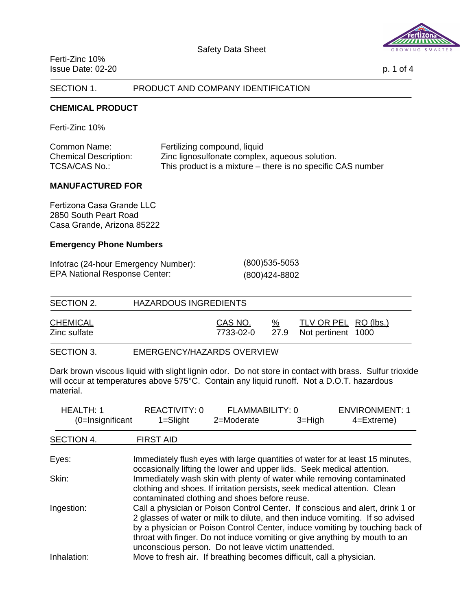Safety Data Sheet

Ferti-Zinc 10% Issue Date: 02-20 p. 1 of 4

### SECTION 1. PRODUCT AND COMPANY IDENTIFICATION

### **CHEMICAL PRODUCT**

Ferti-Zinc 10%

| Common Name:                 | Fertilizing compound, liquid                                |
|------------------------------|-------------------------------------------------------------|
| <b>Chemical Description:</b> | Zinc lignosulfonate complex, aqueous solution.              |
| TCSA/CAS No.:                | This product is a mixture – there is no specific CAS number |

#### **MANUFACTURED FOR**

Fertizona Casa Grande LLC 2850 South Peart Road Casa Grande, Arizona 85222

#### **Emergency Phone Numbers**

| Infotrac (24-hour Emergency Number): | $(800)$ 535-5053 |  |
|--------------------------------------|------------------|--|
| <b>EPA National Response Center:</b> | (800)424-8802    |  |

| SECTION 2.                      | <b>HAZARDOUS INGREDIENTS</b>                                                                     |  |
|---------------------------------|--------------------------------------------------------------------------------------------------|--|
| <b>CHEMICAL</b><br>Zinc sulfate | TLV OR PEL RQ (lbs.)<br>$\frac{\%}{\sqrt{2}}$<br>CAS NO.<br>27.9 Not pertinent 1000<br>7733-02-0 |  |
| SECTION 3.                      | EMERGENCY/HAZARDS OVERVIEW                                                                       |  |

Dark brown viscous liquid with slight lignin odor. Do not store in contact with brass. Sulfur trioxide will occur at temperatures above 575°C. Contain any liquid runoff. Not a D.O.T. hazardous material.

| <b>HEALTH: 1</b><br>$(0=$ Insignificant | <b>REACTIVITY: 0</b><br>$1 =$ Slight                                                                                       | <b>FLAMMABILITY: 0</b><br>2=Moderate | $3 = High$ | <b>ENVIRONMENT: 1</b><br>$4 =$ Extreme)                                                                                                                                                                                                                                                                                      |
|-----------------------------------------|----------------------------------------------------------------------------------------------------------------------------|--------------------------------------|------------|------------------------------------------------------------------------------------------------------------------------------------------------------------------------------------------------------------------------------------------------------------------------------------------------------------------------------|
|                                         |                                                                                                                            |                                      |            |                                                                                                                                                                                                                                                                                                                              |
| <b>SECTION 4.</b>                       | <b>FIRST AID</b>                                                                                                           |                                      |            |                                                                                                                                                                                                                                                                                                                              |
| Eyes:                                   | occasionally lifting the lower and upper lids. Seek medical attention.                                                     |                                      |            | Immediately flush eyes with large quantities of water for at least 15 minutes,                                                                                                                                                                                                                                               |
| Skin:                                   | clothing and shoes. If irritation persists, seek medical attention. Clean<br>contaminated clothing and shoes before reuse. |                                      |            | Immediately wash skin with plenty of water while removing contaminated                                                                                                                                                                                                                                                       |
| Ingestion:                              | unconscious person. Do not leave victim unattended.                                                                        |                                      |            | Call a physician or Poison Control Center. If conscious and alert, drink 1 or<br>2 glasses of water or milk to dilute, and then induce vomiting. If so advised<br>by a physician or Poison Control Center, induce vomiting by touching back of<br>throat with finger. Do not induce vomiting or give anything by mouth to an |
| Inhalation:                             | Move to fresh air. If breathing becomes difficult, call a physician.                                                       |                                      |            |                                                                                                                                                                                                                                                                                                                              |

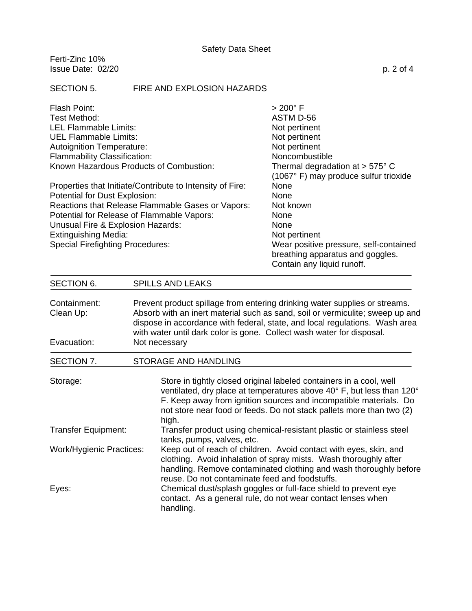Ferti-Zinc 10% Issue Date: 02/20 p. 2 of 4

| <b>SECTION 5.</b>                          |  | FIRE AND EXPLOSION HAZARDS                                                   |                                                                                                                                                                                                                                                                                                                     |
|--------------------------------------------|--|------------------------------------------------------------------------------|---------------------------------------------------------------------------------------------------------------------------------------------------------------------------------------------------------------------------------------------------------------------------------------------------------------------|
| Flash Point:                               |  |                                                                              | $>200^\circ$ F                                                                                                                                                                                                                                                                                                      |
| Test Method:                               |  |                                                                              | ASTM D-56                                                                                                                                                                                                                                                                                                           |
| <b>LEL Flammable Limits:</b>               |  |                                                                              | Not pertinent                                                                                                                                                                                                                                                                                                       |
| <b>UEL Flammable Limits:</b>               |  |                                                                              | Not pertinent                                                                                                                                                                                                                                                                                                       |
| <b>Autoignition Temperature:</b>           |  |                                                                              | Not pertinent                                                                                                                                                                                                                                                                                                       |
| <b>Flammability Classification:</b>        |  |                                                                              | Noncombustible                                                                                                                                                                                                                                                                                                      |
| Known Hazardous Products of Combustion:    |  |                                                                              | Thermal degradation at $> 575^{\circ}$ C                                                                                                                                                                                                                                                                            |
|                                            |  |                                                                              | (1067°F) may produce sulfur trioxide                                                                                                                                                                                                                                                                                |
|                                            |  | Properties that Initiate/Contribute to Intensity of Fire:                    | None                                                                                                                                                                                                                                                                                                                |
| Potential for Dust Explosion:              |  |                                                                              | None                                                                                                                                                                                                                                                                                                                |
|                                            |  | Reactions that Release Flammable Gases or Vapors:                            | Not known                                                                                                                                                                                                                                                                                                           |
| Potential for Release of Flammable Vapors: |  |                                                                              | None                                                                                                                                                                                                                                                                                                                |
| Unusual Fire & Explosion Hazards:          |  |                                                                              | None                                                                                                                                                                                                                                                                                                                |
| <b>Extinguishing Media:</b>                |  |                                                                              | Not pertinent                                                                                                                                                                                                                                                                                                       |
| <b>Special Firefighting Procedures:</b>    |  |                                                                              | Wear positive pressure, self-contained                                                                                                                                                                                                                                                                              |
|                                            |  |                                                                              | breathing apparatus and goggles.                                                                                                                                                                                                                                                                                    |
|                                            |  |                                                                              | Contain any liquid runoff.                                                                                                                                                                                                                                                                                          |
| SECTION 6.                                 |  | <b>SPILLS AND LEAKS</b>                                                      |                                                                                                                                                                                                                                                                                                                     |
| Containment:<br>Clean Up:                  |  |                                                                              | Prevent product spillage from entering drinking water supplies or streams.<br>Absorb with an inert material such as sand, soil or vermiculite; sweep up and<br>dispose in accordance with federal, state, and local regulations. Wash area<br>with water until dark color is gone. Collect wash water for disposal. |
| Evacuation:                                |  | Not necessary                                                                |                                                                                                                                                                                                                                                                                                                     |
| SECTION 7.                                 |  | STORAGE AND HANDLING                                                         |                                                                                                                                                                                                                                                                                                                     |
| Storage:                                   |  | high.                                                                        | Store in tightly closed original labeled containers in a cool, well<br>ventilated, dry place at temperatures above 40° F, but less than 120°<br>F. Keep away from ignition sources and incompatible materials. Do<br>not store near food or feeds. Do not stack pallets more than two (2)                           |
| <b>Transfer Equipment:</b>                 |  |                                                                              | Transfer product using chemical-resistant plastic or stainless steel                                                                                                                                                                                                                                                |
| <b>Work/Hygienic Practices:</b>            |  | tanks, pumps, valves, etc.<br>reuse. Do not contaminate feed and foodstuffs. | Keep out of reach of children. Avoid contact with eyes, skin, and<br>clothing. Avoid inhalation of spray mists. Wash thoroughly after<br>handling. Remove contaminated clothing and wash thoroughly before                                                                                                          |
| Eyes:<br>handling.                         |  |                                                                              | Chemical dust/splash goggles or full-face shield to prevent eye<br>contact. As a general rule, do not wear contact lenses when                                                                                                                                                                                      |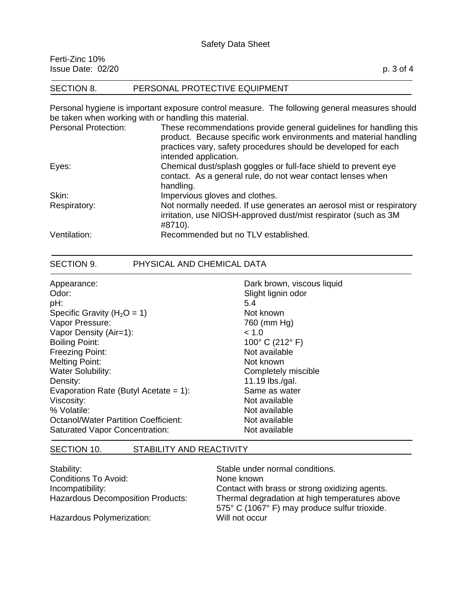| Ferti-Zinc 10%<br>Issue Date: 02/20 |                               | p. 3 of 4 |
|-------------------------------------|-------------------------------|-----------|
| SECTION 8.                          | PERSONAL PROTECTIVE EQUIPMENT |           |

Personal hygiene is important exposure control measure. The following general measures should be taken when working with or handling this material.

| <b>Personal Protection:</b> | These recommendations provide general guidelines for handling this<br>product. Because specific work environments and material handling<br>practices vary, safety procedures should be developed for each<br>intended application. |
|-----------------------------|------------------------------------------------------------------------------------------------------------------------------------------------------------------------------------------------------------------------------------|
| Eyes:                       | Chemical dust/splash goggles or full-face shield to prevent eye<br>contact. As a general rule, do not wear contact lenses when<br>handling.                                                                                        |
| Skin:                       | Impervious gloves and clothes.                                                                                                                                                                                                     |
| Respiratory:                | Not normally needed. If use generates an aerosol mist or respiratory<br>irritation, use NIOSH-approved dust/mist respirator (such as 3M<br>#8710).                                                                                 |
| Ventilation:                | Recommended but no TLV established.                                                                                                                                                                                                |

## SECTION 9. PHYSICAL AND CHEMICAL DATA

| Appearance:                                 | Dark brown, viscous liquid          |
|---------------------------------------------|-------------------------------------|
| Odor:                                       | Slight lignin odor                  |
| pH:                                         | 5.4                                 |
| Specific Gravity ( $H_2O = 1$ )             | Not known                           |
| Vapor Pressure:                             | 760 (mm Hg)                         |
| Vapor Density (Air=1):                      | < 1.0                               |
| <b>Boiling Point:</b>                       | 100 $^{\circ}$ C (212 $^{\circ}$ F) |
| <b>Freezing Point:</b>                      | Not available                       |
| <b>Melting Point:</b>                       | Not known                           |
| <b>Water Solubility:</b>                    | Completely miscible                 |
| Density:                                    | 11.19 lbs./gal.                     |
| Evaporation Rate (Butyl Acetate = $1$ ):    | Same as water                       |
| Viscosity:                                  | Not available                       |
| % Volatile:                                 | Not available                       |
| <b>Octanol/Water Partition Coefficient:</b> | Not available                       |
| <b>Saturated Vapor Concentration:</b>       | Not available                       |

# SECTION 10. STABILITY AND REACTIVITY

| Stability:                               | Stable under normal conditions.                                                                 |
|------------------------------------------|-------------------------------------------------------------------------------------------------|
| Conditions To Avoid:                     | None known                                                                                      |
| Incompatibility:                         | Contact with brass or strong oxidizing agents.                                                  |
| <b>Hazardous Decomposition Products:</b> | Thermal degradation at high temperatures above<br>575° C (1067° F) may produce sulfur trioxide. |
| Hazardous Polymerization:                | Will not occur                                                                                  |